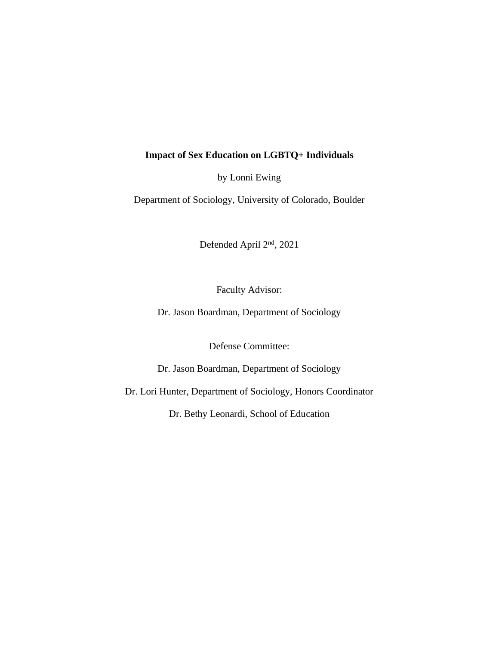# **Impact of Sex Education on LGBTQ+ Individuals**

by Lonni Ewing

Department of Sociology, University of Colorado, Boulder

Defended April 2nd, 2021

Faculty Advisor:

Dr. Jason Boardman, Department of Sociology

Defense Committee:

Dr. Jason Boardman, Department of Sociology

Dr. Lori Hunter, Department of Sociology, Honors Coordinator

Dr. Bethy Leonardi, School of Education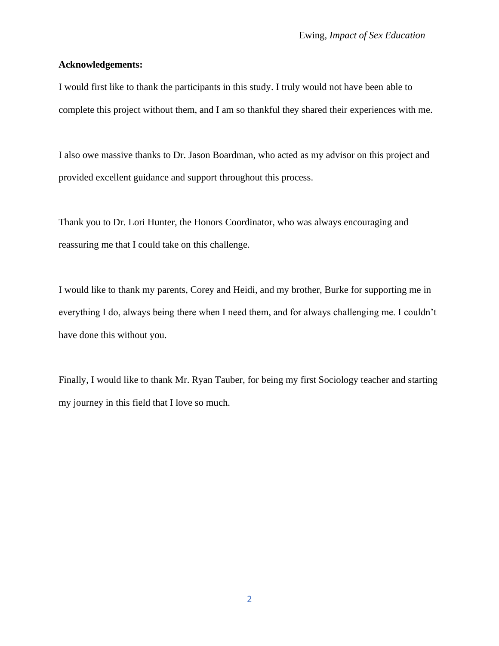#### **Acknowledgements:**

I would first like to thank the participants in this study. I truly would not have been able to complete this project without them, and I am so thankful they shared their experiences with me.

I also owe massive thanks to Dr. Jason Boardman, who acted as my advisor on this project and provided excellent guidance and support throughout this process.

Thank you to Dr. Lori Hunter, the Honors Coordinator, who was always encouraging and reassuring me that I could take on this challenge.

I would like to thank my parents, Corey and Heidi, and my brother, Burke for supporting me in everything I do, always being there when I need them, and for always challenging me. I couldn't have done this without you.

Finally, I would like to thank Mr. Ryan Tauber, for being my first Sociology teacher and starting my journey in this field that I love so much.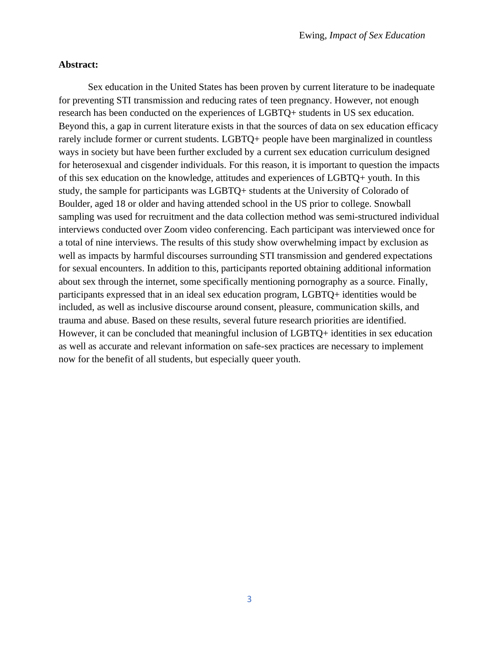## **Abstract:**

Sex education in the United States has been proven by current literature to be inadequate for preventing STI transmission and reducing rates of teen pregnancy. However, not enough research has been conducted on the experiences of LGBTQ+ students in US sex education. Beyond this, a gap in current literature exists in that the sources of data on sex education efficacy rarely include former or current students. LGBTQ+ people have been marginalized in countless ways in society but have been further excluded by a current sex education curriculum designed for heterosexual and cisgender individuals. For this reason, it is important to question the impacts of this sex education on the knowledge, attitudes and experiences of LGBTQ+ youth. In this study, the sample for participants was LGBTQ+ students at the University of Colorado of Boulder, aged 18 or older and having attended school in the US prior to college. Snowball sampling was used for recruitment and the data collection method was semi-structured individual interviews conducted over Zoom video conferencing. Each participant was interviewed once for a total of nine interviews. The results of this study show overwhelming impact by exclusion as well as impacts by harmful discourses surrounding STI transmission and gendered expectations for sexual encounters. In addition to this, participants reported obtaining additional information about sex through the internet, some specifically mentioning pornography as a source. Finally, participants expressed that in an ideal sex education program, LGBTQ+ identities would be included, as well as inclusive discourse around consent, pleasure, communication skills, and trauma and abuse. Based on these results, several future research priorities are identified. However, it can be concluded that meaningful inclusion of LGBTQ+ identities in sex education as well as accurate and relevant information on safe-sex practices are necessary to implement now for the benefit of all students, but especially queer youth.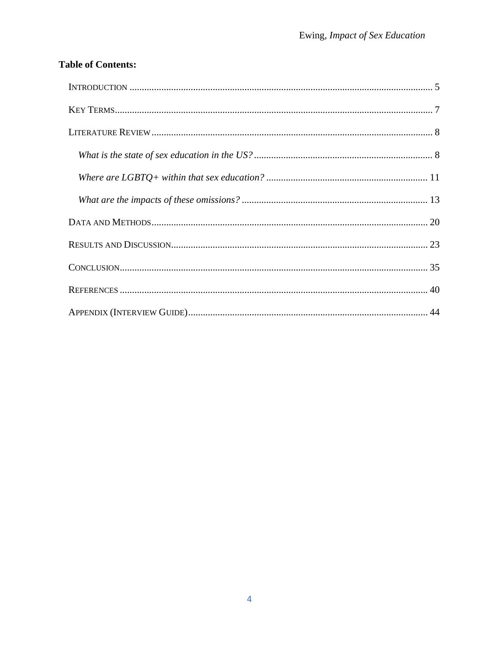# **Table of Contents:**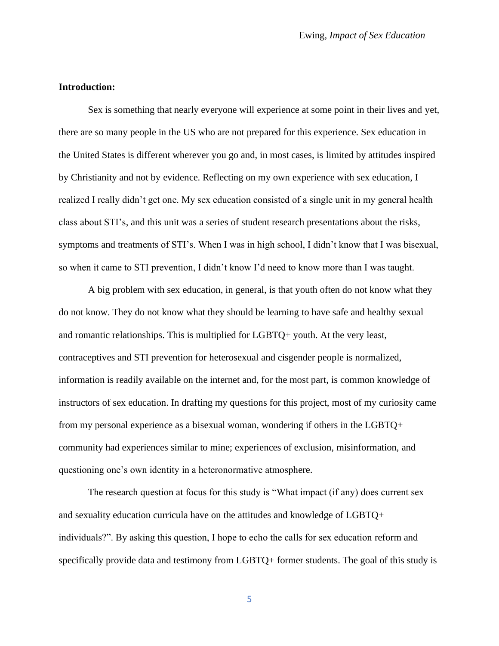# **Introduction:**

Sex is something that nearly everyone will experience at some point in their lives and yet, there are so many people in the US who are not prepared for this experience. Sex education in the United States is different wherever you go and, in most cases, is limited by attitudes inspired by Christianity and not by evidence. Reflecting on my own experience with sex education, I realized I really didn't get one. My sex education consisted of a single unit in my general health class about STI's, and this unit was a series of student research presentations about the risks, symptoms and treatments of STI's. When I was in high school, I didn't know that I was bisexual, so when it came to STI prevention, I didn't know I'd need to know more than I was taught.

A big problem with sex education, in general, is that youth often do not know what they do not know. They do not know what they should be learning to have safe and healthy sexual and romantic relationships. This is multiplied for LGBTQ+ youth. At the very least, contraceptives and STI prevention for heterosexual and cisgender people is normalized, information is readily available on the internet and, for the most part, is common knowledge of instructors of sex education. In drafting my questions for this project, most of my curiosity came from my personal experience as a bisexual woman, wondering if others in the LGBTQ+ community had experiences similar to mine; experiences of exclusion, misinformation, and questioning one's own identity in a heteronormative atmosphere.

The research question at focus for this study is "What impact (if any) does current sex and sexuality education curricula have on the attitudes and knowledge of LGBTQ+ individuals?". By asking this question, I hope to echo the calls for sex education reform and specifically provide data and testimony from LGBTQ+ former students. The goal of this study is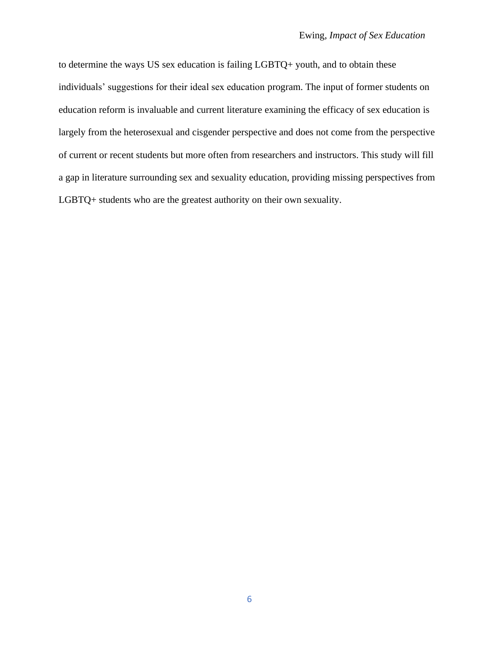to determine the ways US sex education is failing LGBTQ+ youth, and to obtain these individuals' suggestions for their ideal sex education program. The input of former students on education reform is invaluable and current literature examining the efficacy of sex education is largely from the heterosexual and cisgender perspective and does not come from the perspective of current or recent students but more often from researchers and instructors. This study will fill a gap in literature surrounding sex and sexuality education, providing missing perspectives from LGBTQ+ students who are the greatest authority on their own sexuality.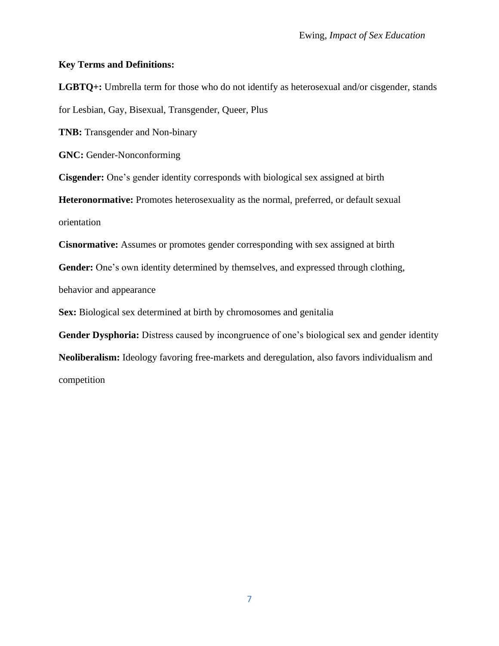# **Key Terms and Definitions:**

**LGBTQ+:** Umbrella term for those who do not identify as heterosexual and/or cisgender, stands for Lesbian, Gay, Bisexual, Transgender, Queer, Plus **TNB:** Transgender and Non-binary **GNC:** Gender-Nonconforming **Cisgender:** One's gender identity corresponds with biological sex assigned at birth **Heteronormative:** Promotes heterosexuality as the normal, preferred, or default sexual orientation **Cisnormative:** Assumes or promotes gender corresponding with sex assigned at birth Gender: One's own identity determined by themselves, and expressed through clothing,

behavior and appearance

**Sex:** Biological sex determined at birth by chromosomes and genitalia

**Gender Dysphoria:** Distress caused by incongruence of one's biological sex and gender identity

**Neoliberalism:** Ideology favoring free-markets and deregulation, also favors individualism and competition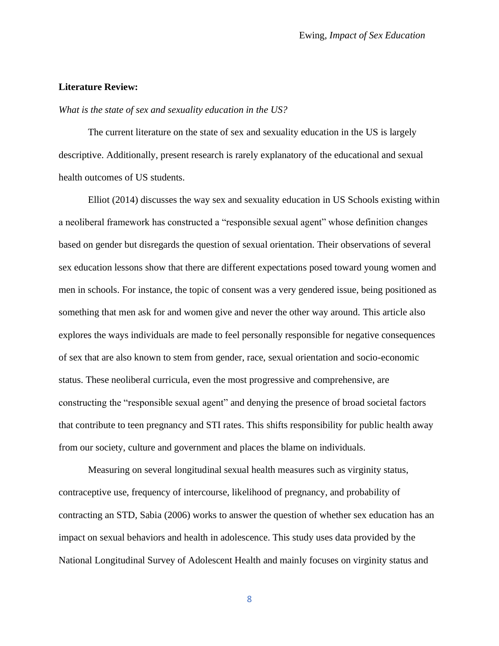#### **Literature Review:**

#### *What is the state of sex and sexuality education in the US?*

The current literature on the state of sex and sexuality education in the US is largely descriptive. Additionally, present research is rarely explanatory of the educational and sexual health outcomes of US students.

Elliot (2014) discusses the way sex and sexuality education in US Schools existing within a neoliberal framework has constructed a "responsible sexual agent" whose definition changes based on gender but disregards the question of sexual orientation. Their observations of several sex education lessons show that there are different expectations posed toward young women and men in schools. For instance, the topic of consent was a very gendered issue, being positioned as something that men ask for and women give and never the other way around. This article also explores the ways individuals are made to feel personally responsible for negative consequences of sex that are also known to stem from gender, race, sexual orientation and socio-economic status. These neoliberal curricula, even the most progressive and comprehensive, are constructing the "responsible sexual agent" and denying the presence of broad societal factors that contribute to teen pregnancy and STI rates. This shifts responsibility for public health away from our society, culture and government and places the blame on individuals.

Measuring on several longitudinal sexual health measures such as virginity status, contraceptive use, frequency of intercourse, likelihood of pregnancy, and probability of contracting an STD, Sabia (2006) works to answer the question of whether sex education has an impact on sexual behaviors and health in adolescence. This study uses data provided by the National Longitudinal Survey of Adolescent Health and mainly focuses on virginity status and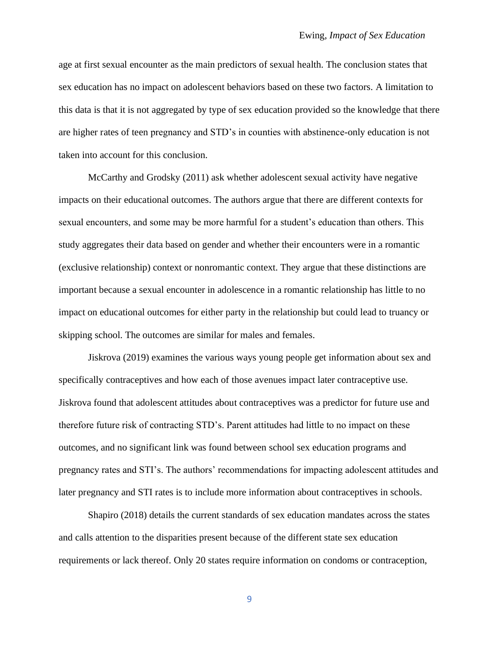age at first sexual encounter as the main predictors of sexual health. The conclusion states that sex education has no impact on adolescent behaviors based on these two factors. A limitation to this data is that it is not aggregated by type of sex education provided so the knowledge that there are higher rates of teen pregnancy and STD's in counties with abstinence-only education is not taken into account for this conclusion.

McCarthy and Grodsky (2011) ask whether adolescent sexual activity have negative impacts on their educational outcomes. The authors argue that there are different contexts for sexual encounters, and some may be more harmful for a student's education than others. This study aggregates their data based on gender and whether their encounters were in a romantic (exclusive relationship) context or nonromantic context. They argue that these distinctions are important because a sexual encounter in adolescence in a romantic relationship has little to no impact on educational outcomes for either party in the relationship but could lead to truancy or skipping school. The outcomes are similar for males and females.

Jiskrova (2019) examines the various ways young people get information about sex and specifically contraceptives and how each of those avenues impact later contraceptive use. Jiskrova found that adolescent attitudes about contraceptives was a predictor for future use and therefore future risk of contracting STD's. Parent attitudes had little to no impact on these outcomes, and no significant link was found between school sex education programs and pregnancy rates and STI's. The authors' recommendations for impacting adolescent attitudes and later pregnancy and STI rates is to include more information about contraceptives in schools.

Shapiro (2018) details the current standards of sex education mandates across the states and calls attention to the disparities present because of the different state sex education requirements or lack thereof. Only 20 states require information on condoms or contraception,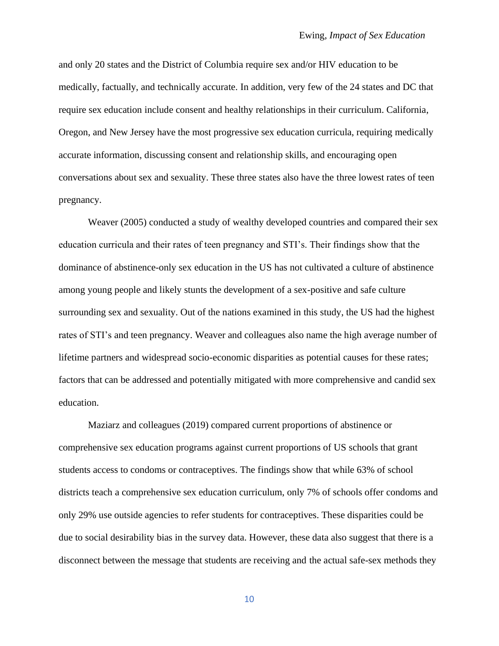and only 20 states and the District of Columbia require sex and/or HIV education to be medically, factually, and technically accurate. In addition, very few of the 24 states and DC that require sex education include consent and healthy relationships in their curriculum. California, Oregon, and New Jersey have the most progressive sex education curricula, requiring medically accurate information, discussing consent and relationship skills, and encouraging open conversations about sex and sexuality. These three states also have the three lowest rates of teen pregnancy.

Weaver (2005) conducted a study of wealthy developed countries and compared their sex education curricula and their rates of teen pregnancy and STI's. Their findings show that the dominance of abstinence-only sex education in the US has not cultivated a culture of abstinence among young people and likely stunts the development of a sex-positive and safe culture surrounding sex and sexuality. Out of the nations examined in this study, the US had the highest rates of STI's and teen pregnancy. Weaver and colleagues also name the high average number of lifetime partners and widespread socio-economic disparities as potential causes for these rates; factors that can be addressed and potentially mitigated with more comprehensive and candid sex education.

Maziarz and colleagues (2019) compared current proportions of abstinence or comprehensive sex education programs against current proportions of US schools that grant students access to condoms or contraceptives. The findings show that while 63% of school districts teach a comprehensive sex education curriculum, only 7% of schools offer condoms and only 29% use outside agencies to refer students for contraceptives. These disparities could be due to social desirability bias in the survey data. However, these data also suggest that there is a disconnect between the message that students are receiving and the actual safe-sex methods they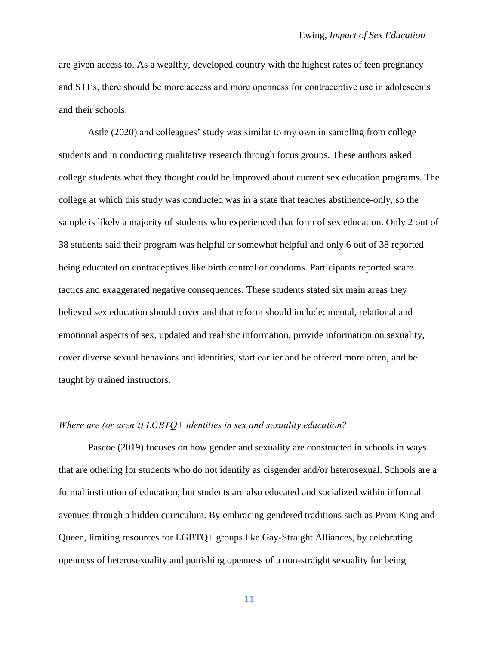are given access to. As a wealthy, developed country with the highest rates of teen pregnancy and STI's, there should be more access and more openness for contraceptive use in adolescents and their schools.

Astle (2020) and colleagues' study was similar to my own in sampling from college students and in conducting qualitative research through focus groups. These authors asked college students what they thought could be improved about current sex education programs. The college at which this study was conducted was in a state that teaches abstinence-only, so the sample is likely a majority of students who experienced that form of sex education. Only 2 out of 38 students said their program was helpful or somewhat helpful and only 6 out of 38 reported being educated on contraceptives like birth control or condoms. Participants reported scare tactics and exaggerated negative consequences. These students stated six main areas they believed sex education should cover and that reform should include: mental, relational and emotional aspects of sex, updated and realistic information, provide information on sexuality, cover diverse sexual behaviors and identities, start earlier and be offered more often, and be taught by trained instructors.

#### *Where are (or aren't) LGBTQ+ identities in sex and sexuality education?*

Pascoe (2019) focuses on how gender and sexuality are constructed in schools in ways that are othering for students who do not identify as cisgender and/or heterosexual. Schools are a formal institution of education, but students are also educated and socialized within informal avenues through a hidden curriculum. By embracing gendered traditions such as Prom King and Queen, limiting resources for LGBTQ+ groups like Gay-Straight Alliances, by celebrating openness of heterosexuality and punishing openness of a non-straight sexuality for being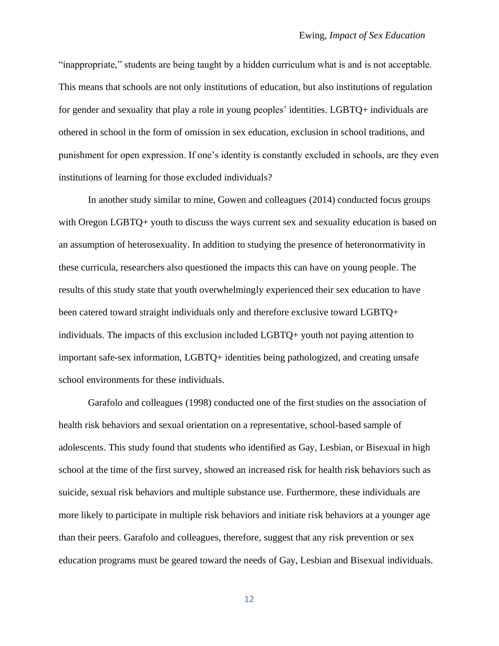"inappropriate," students are being taught by a hidden curriculum what is and is not acceptable. This means that schools are not only institutions of education, but also institutions of regulation for gender and sexuality that play a role in young peoples' identities. LGBTQ+ individuals are othered in school in the form of omission in sex education, exclusion in school traditions, and punishment for open expression. If one's identity is constantly excluded in schools, are they even institutions of learning for those excluded individuals?

In another study similar to mine, Gowen and colleagues (2014) conducted focus groups with Oregon LGBTQ+ youth to discuss the ways current sex and sexuality education is based on an assumption of heterosexuality. In addition to studying the presence of heteronormativity in these curricula, researchers also questioned the impacts this can have on young people. The results of this study state that youth overwhelmingly experienced their sex education to have been catered toward straight individuals only and therefore exclusive toward LGBTQ+ individuals. The impacts of this exclusion included LGBTQ+ youth not paying attention to important safe-sex information, LGBTQ+ identities being pathologized, and creating unsafe school environments for these individuals.

Garafolo and colleagues (1998) conducted one of the first studies on the association of health risk behaviors and sexual orientation on a representative, school-based sample of adolescents. This study found that students who identified as Gay, Lesbian, or Bisexual in high school at the time of the first survey, showed an increased risk for health risk behaviors such as suicide, sexual risk behaviors and multiple substance use. Furthermore, these individuals are more likely to participate in multiple risk behaviors and initiate risk behaviors at a younger age than their peers. Garafolo and colleagues, therefore, suggest that any risk prevention or sex education programs must be geared toward the needs of Gay, Lesbian and Bisexual individuals.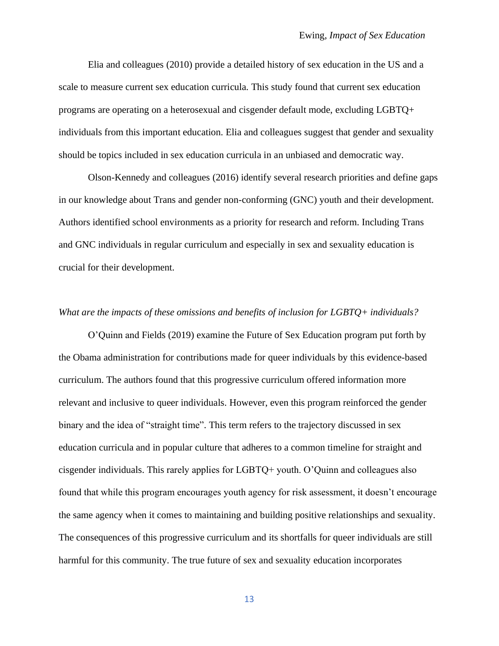Elia and colleagues (2010) provide a detailed history of sex education in the US and a scale to measure current sex education curricula. This study found that current sex education programs are operating on a heterosexual and cisgender default mode, excluding LGBTQ+ individuals from this important education. Elia and colleagues suggest that gender and sexuality should be topics included in sex education curricula in an unbiased and democratic way.

Olson-Kennedy and colleagues (2016) identify several research priorities and define gaps in our knowledge about Trans and gender non-conforming (GNC) youth and their development. Authors identified school environments as a priority for research and reform. Including Trans and GNC individuals in regular curriculum and especially in sex and sexuality education is crucial for their development.

#### *What are the impacts of these omissions and benefits of inclusion for LGBTQ+ individuals?*

O'Quinn and Fields (2019) examine the Future of Sex Education program put forth by the Obama administration for contributions made for queer individuals by this evidence-based curriculum. The authors found that this progressive curriculum offered information more relevant and inclusive to queer individuals. However, even this program reinforced the gender binary and the idea of "straight time". This term refers to the trajectory discussed in sex education curricula and in popular culture that adheres to a common timeline for straight and cisgender individuals. This rarely applies for LGBTQ+ youth. O'Quinn and colleagues also found that while this program encourages youth agency for risk assessment, it doesn't encourage the same agency when it comes to maintaining and building positive relationships and sexuality. The consequences of this progressive curriculum and its shortfalls for queer individuals are still harmful for this community. The true future of sex and sexuality education incorporates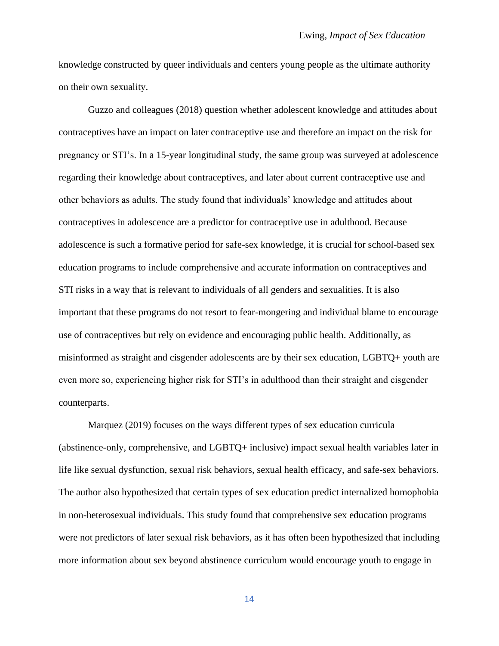knowledge constructed by queer individuals and centers young people as the ultimate authority on their own sexuality.

Guzzo and colleagues (2018) question whether adolescent knowledge and attitudes about contraceptives have an impact on later contraceptive use and therefore an impact on the risk for pregnancy or STI's. In a 15-year longitudinal study, the same group was surveyed at adolescence regarding their knowledge about contraceptives, and later about current contraceptive use and other behaviors as adults. The study found that individuals' knowledge and attitudes about contraceptives in adolescence are a predictor for contraceptive use in adulthood. Because adolescence is such a formative period for safe-sex knowledge, it is crucial for school-based sex education programs to include comprehensive and accurate information on contraceptives and STI risks in a way that is relevant to individuals of all genders and sexualities. It is also important that these programs do not resort to fear-mongering and individual blame to encourage use of contraceptives but rely on evidence and encouraging public health. Additionally, as misinformed as straight and cisgender adolescents are by their sex education, LGBTQ+ youth are even more so, experiencing higher risk for STI's in adulthood than their straight and cisgender counterparts.

Marquez (2019) focuses on the ways different types of sex education curricula (abstinence-only, comprehensive, and LGBTQ+ inclusive) impact sexual health variables later in life like sexual dysfunction, sexual risk behaviors, sexual health efficacy, and safe-sex behaviors. The author also hypothesized that certain types of sex education predict internalized homophobia in non-heterosexual individuals. This study found that comprehensive sex education programs were not predictors of later sexual risk behaviors, as it has often been hypothesized that including more information about sex beyond abstinence curriculum would encourage youth to engage in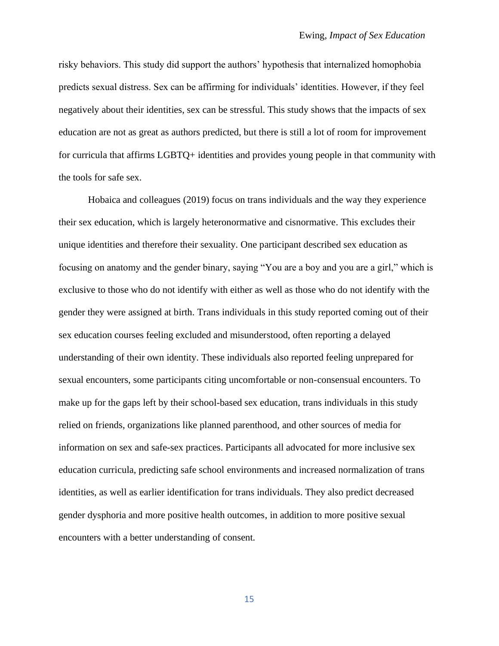risky behaviors. This study did support the authors' hypothesis that internalized homophobia predicts sexual distress. Sex can be affirming for individuals' identities. However, if they feel negatively about their identities, sex can be stressful. This study shows that the impacts of sex education are not as great as authors predicted, but there is still a lot of room for improvement for curricula that affirms LGBTQ+ identities and provides young people in that community with the tools for safe sex.

Hobaica and colleagues (2019) focus on trans individuals and the way they experience their sex education, which is largely heteronormative and cisnormative. This excludes their unique identities and therefore their sexuality. One participant described sex education as focusing on anatomy and the gender binary, saying "You are a boy and you are a girl," which is exclusive to those who do not identify with either as well as those who do not identify with the gender they were assigned at birth. Trans individuals in this study reported coming out of their sex education courses feeling excluded and misunderstood, often reporting a delayed understanding of their own identity. These individuals also reported feeling unprepared for sexual encounters, some participants citing uncomfortable or non-consensual encounters. To make up for the gaps left by their school-based sex education, trans individuals in this study relied on friends, organizations like planned parenthood, and other sources of media for information on sex and safe-sex practices. Participants all advocated for more inclusive sex education curricula, predicting safe school environments and increased normalization of trans identities, as well as earlier identification for trans individuals. They also predict decreased gender dysphoria and more positive health outcomes, in addition to more positive sexual encounters with a better understanding of consent.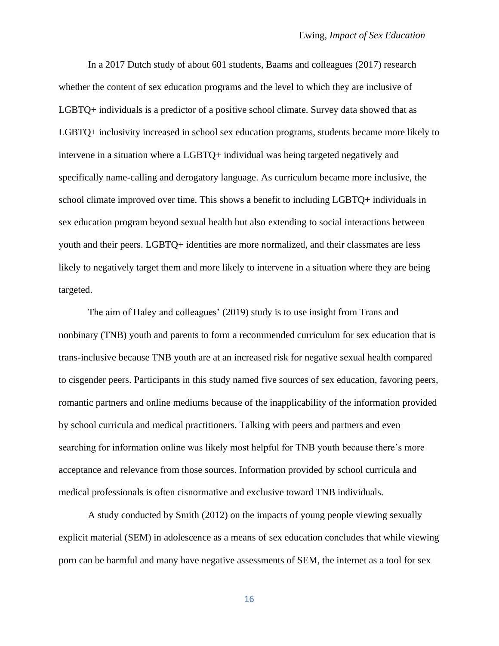In a 2017 Dutch study of about 601 students, Baams and colleagues (2017) research whether the content of sex education programs and the level to which they are inclusive of LGBTQ+ individuals is a predictor of a positive school climate. Survey data showed that as LGBTQ+ inclusivity increased in school sex education programs, students became more likely to intervene in a situation where a LGBTQ+ individual was being targeted negatively and specifically name-calling and derogatory language. As curriculum became more inclusive, the school climate improved over time. This shows a benefit to including LGBTQ+ individuals in sex education program beyond sexual health but also extending to social interactions between youth and their peers. LGBTQ+ identities are more normalized, and their classmates are less likely to negatively target them and more likely to intervene in a situation where they are being targeted.

The aim of Haley and colleagues' (2019) study is to use insight from Trans and nonbinary (TNB) youth and parents to form a recommended curriculum for sex education that is trans-inclusive because TNB youth are at an increased risk for negative sexual health compared to cisgender peers. Participants in this study named five sources of sex education, favoring peers, romantic partners and online mediums because of the inapplicability of the information provided by school curricula and medical practitioners. Talking with peers and partners and even searching for information online was likely most helpful for TNB youth because there's more acceptance and relevance from those sources. Information provided by school curricula and medical professionals is often cisnormative and exclusive toward TNB individuals.

A study conducted by Smith (2012) on the impacts of young people viewing sexually explicit material (SEM) in adolescence as a means of sex education concludes that while viewing porn can be harmful and many have negative assessments of SEM, the internet as a tool for sex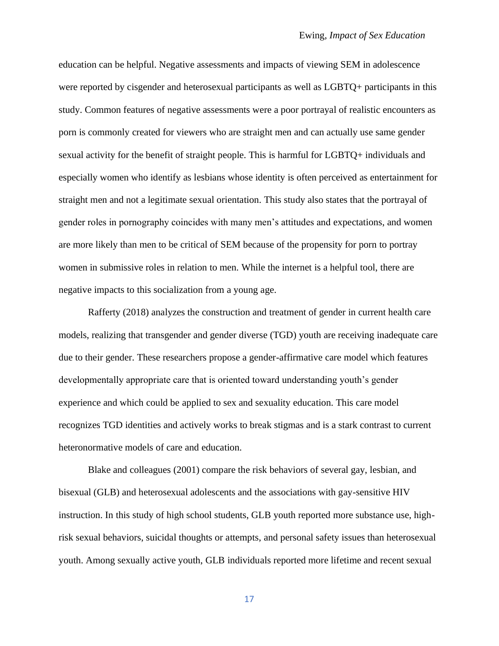education can be helpful. Negative assessments and impacts of viewing SEM in adolescence were reported by cisgender and heterosexual participants as well as LGBTQ+ participants in this study. Common features of negative assessments were a poor portrayal of realistic encounters as porn is commonly created for viewers who are straight men and can actually use same gender sexual activity for the benefit of straight people. This is harmful for LGBTQ+ individuals and especially women who identify as lesbians whose identity is often perceived as entertainment for straight men and not a legitimate sexual orientation. This study also states that the portrayal of gender roles in pornography coincides with many men's attitudes and expectations, and women are more likely than men to be critical of SEM because of the propensity for porn to portray women in submissive roles in relation to men. While the internet is a helpful tool, there are negative impacts to this socialization from a young age.

Rafferty (2018) analyzes the construction and treatment of gender in current health care models, realizing that transgender and gender diverse (TGD) youth are receiving inadequate care due to their gender. These researchers propose a gender-affirmative care model which features developmentally appropriate care that is oriented toward understanding youth's gender experience and which could be applied to sex and sexuality education. This care model recognizes TGD identities and actively works to break stigmas and is a stark contrast to current heteronormative models of care and education.

Blake and colleagues (2001) compare the risk behaviors of several gay, lesbian, and bisexual (GLB) and heterosexual adolescents and the associations with gay-sensitive HIV instruction. In this study of high school students, GLB youth reported more substance use, highrisk sexual behaviors, suicidal thoughts or attempts, and personal safety issues than heterosexual youth. Among sexually active youth, GLB individuals reported more lifetime and recent sexual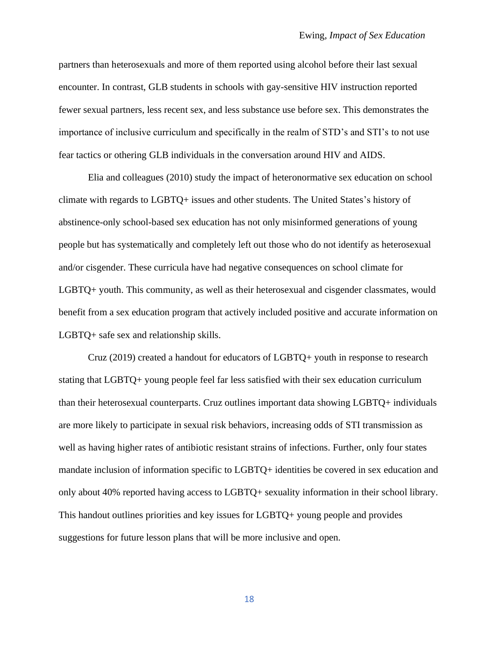partners than heterosexuals and more of them reported using alcohol before their last sexual encounter. In contrast, GLB students in schools with gay-sensitive HIV instruction reported fewer sexual partners, less recent sex, and less substance use before sex. This demonstrates the importance of inclusive curriculum and specifically in the realm of STD's and STI's to not use fear tactics or othering GLB individuals in the conversation around HIV and AIDS.

Elia and colleagues (2010) study the impact of heteronormative sex education on school climate with regards to LGBTQ+ issues and other students. The United States's history of abstinence-only school-based sex education has not only misinformed generations of young people but has systematically and completely left out those who do not identify as heterosexual and/or cisgender. These curricula have had negative consequences on school climate for LGBTQ+ youth. This community, as well as their heterosexual and cisgender classmates, would benefit from a sex education program that actively included positive and accurate information on LGBTQ+ safe sex and relationship skills.

Cruz (2019) created a handout for educators of LGBTQ+ youth in response to research stating that LGBTQ+ young people feel far less satisfied with their sex education curriculum than their heterosexual counterparts. Cruz outlines important data showing LGBTQ+ individuals are more likely to participate in sexual risk behaviors, increasing odds of STI transmission as well as having higher rates of antibiotic resistant strains of infections. Further, only four states mandate inclusion of information specific to LGBTQ+ identities be covered in sex education and only about 40% reported having access to LGBTQ+ sexuality information in their school library. This handout outlines priorities and key issues for LGBTQ+ young people and provides suggestions for future lesson plans that will be more inclusive and open.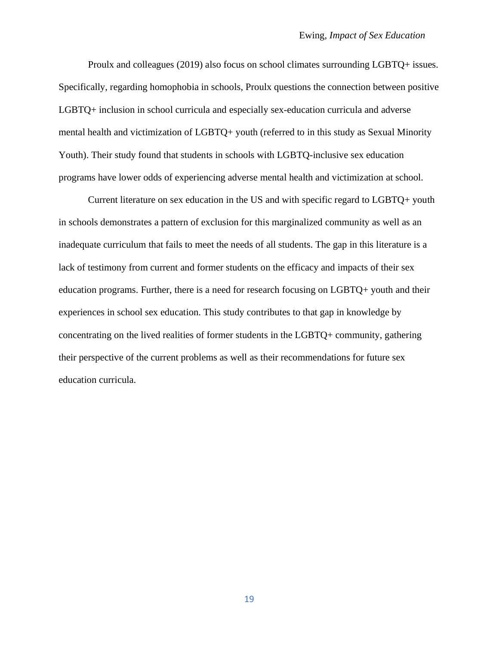Proulx and colleagues (2019) also focus on school climates surrounding LGBTQ+ issues. Specifically, regarding homophobia in schools, Proulx questions the connection between positive LGBTQ+ inclusion in school curricula and especially sex-education curricula and adverse mental health and victimization of LGBTQ+ youth (referred to in this study as Sexual Minority Youth). Their study found that students in schools with LGBTQ-inclusive sex education programs have lower odds of experiencing adverse mental health and victimization at school.

Current literature on sex education in the US and with specific regard to LGBTQ+ youth in schools demonstrates a pattern of exclusion for this marginalized community as well as an inadequate curriculum that fails to meet the needs of all students. The gap in this literature is a lack of testimony from current and former students on the efficacy and impacts of their sex education programs. Further, there is a need for research focusing on LGBTQ+ youth and their experiences in school sex education. This study contributes to that gap in knowledge by concentrating on the lived realities of former students in the LGBTQ+ community, gathering their perspective of the current problems as well as their recommendations for future sex education curricula.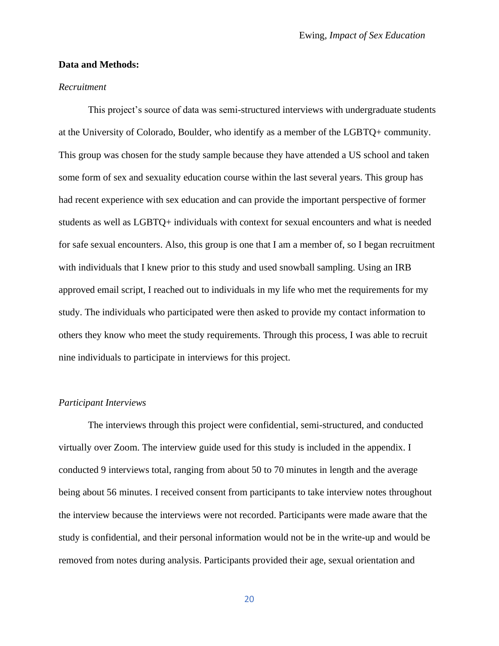#### **Data and Methods:**

#### *Recruitment*

This project's source of data was semi-structured interviews with undergraduate students at the University of Colorado, Boulder, who identify as a member of the LGBTQ+ community. This group was chosen for the study sample because they have attended a US school and taken some form of sex and sexuality education course within the last several years. This group has had recent experience with sex education and can provide the important perspective of former students as well as LGBTQ+ individuals with context for sexual encounters and what is needed for safe sexual encounters. Also, this group is one that I am a member of, so I began recruitment with individuals that I knew prior to this study and used snowball sampling. Using an IRB approved email script, I reached out to individuals in my life who met the requirements for my study. The individuals who participated were then asked to provide my contact information to others they know who meet the study requirements. Through this process, I was able to recruit nine individuals to participate in interviews for this project.

#### *Participant Interviews*

The interviews through this project were confidential, semi-structured, and conducted virtually over Zoom. The interview guide used for this study is included in the appendix. I conducted 9 interviews total, ranging from about 50 to 70 minutes in length and the average being about 56 minutes. I received consent from participants to take interview notes throughout the interview because the interviews were not recorded. Participants were made aware that the study is confidential, and their personal information would not be in the write-up and would be removed from notes during analysis. Participants provided their age, sexual orientation and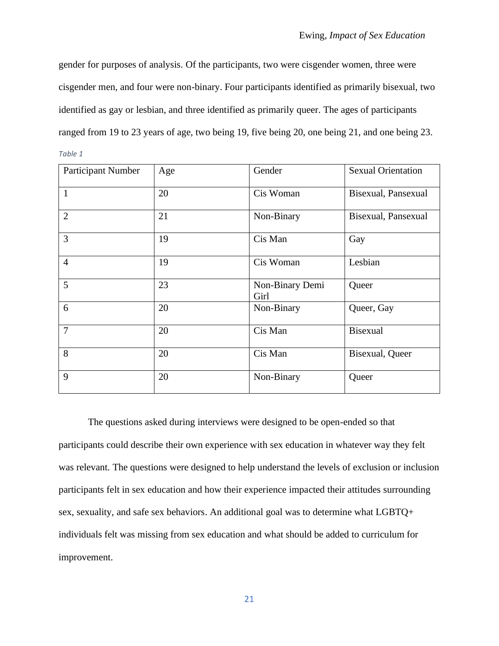gender for purposes of analysis. Of the participants, two were cisgender women, three were cisgender men, and four were non-binary. Four participants identified as primarily bisexual, two identified as gay or lesbian, and three identified as primarily queer. The ages of participants ranged from 19 to 23 years of age, two being 19, five being 20, one being 21, and one being 23. *Table 1*

| <b>Participant Number</b> | Age | Gender                  | <b>Sexual Orientation</b> |
|---------------------------|-----|-------------------------|---------------------------|
| $\mathbf{1}$              | 20  | Cis Woman               | Bisexual, Pansexual       |
| $\overline{2}$            | 21  | Non-Binary              | Bisexual, Pansexual       |
| 3                         | 19  | Cis Man                 | Gay                       |
| $\overline{4}$            | 19  | Cis Woman               | Lesbian                   |
| 5                         | 23  | Non-Binary Demi<br>Girl | Queer                     |
| 6                         | 20  | Non-Binary              | Queer, Gay                |
| $\overline{7}$            | 20  | Cis Man                 | <b>Bisexual</b>           |
| 8                         | 20  | Cis Man                 | Bisexual, Queer           |
| 9                         | 20  | Non-Binary              | Queer                     |

The questions asked during interviews were designed to be open-ended so that participants could describe their own experience with sex education in whatever way they felt was relevant. The questions were designed to help understand the levels of exclusion or inclusion participants felt in sex education and how their experience impacted their attitudes surrounding sex, sexuality, and safe sex behaviors. An additional goal was to determine what LGBTQ+ individuals felt was missing from sex education and what should be added to curriculum for improvement.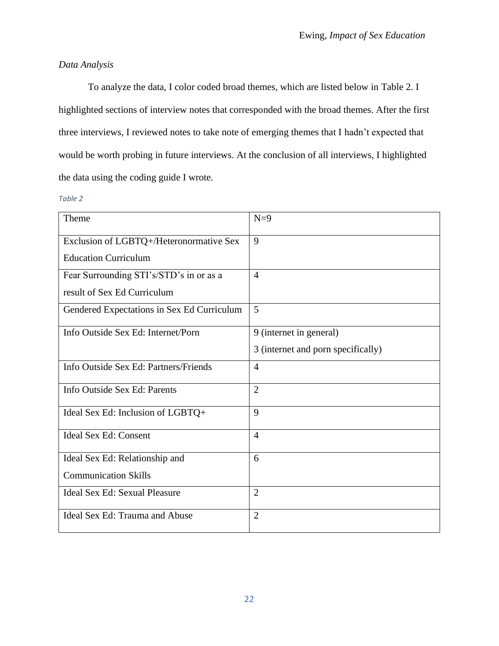# *Data Analysis*

To analyze the data, I color coded broad themes, which are listed below in Table 2. I highlighted sections of interview notes that corresponded with the broad themes. After the first three interviews, I reviewed notes to take note of emerging themes that I hadn't expected that would be worth probing in future interviews. At the conclusion of all interviews, I highlighted the data using the coding guide I wrote.

#### *Table 2*

| Theme                                      | $N=9$                              |
|--------------------------------------------|------------------------------------|
| Exclusion of LGBTQ+/Heteronormative Sex    | 9                                  |
| <b>Education Curriculum</b>                |                                    |
| Fear Surrounding STI's/STD's in or as a    | $\overline{4}$                     |
| result of Sex Ed Curriculum                |                                    |
| Gendered Expectations in Sex Ed Curriculum | 5                                  |
| Info Outside Sex Ed: Internet/Porn         | 9 (internet in general)            |
|                                            | 3 (internet and porn specifically) |
| Info Outside Sex Ed: Partners/Friends      | $\overline{4}$                     |
| Info Outside Sex Ed: Parents               | $\overline{2}$                     |
| Ideal Sex Ed: Inclusion of LGBTQ+          | 9                                  |
| <b>Ideal Sex Ed: Consent</b>               | $\overline{4}$                     |
| Ideal Sex Ed: Relationship and             | 6                                  |
| <b>Communication Skills</b>                |                                    |
| Ideal Sex Ed: Sexual Pleasure              | $\overline{2}$                     |
| Ideal Sex Ed: Trauma and Abuse             | $\overline{2}$                     |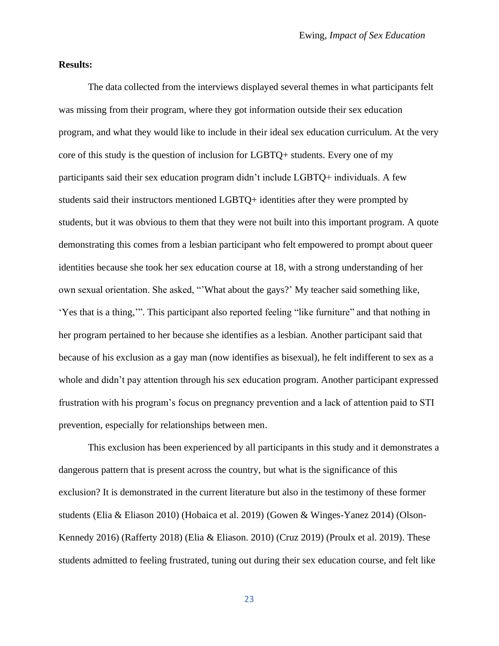#### **Results:**

The data collected from the interviews displayed several themes in what participants felt was missing from their program, where they got information outside their sex education program, and what they would like to include in their ideal sex education curriculum. At the very core of this study is the question of inclusion for LGBTQ+ students. Every one of my participants said their sex education program didn't include LGBTQ+ individuals. A few students said their instructors mentioned LGBTQ+ identities after they were prompted by students, but it was obvious to them that they were not built into this important program. A quote demonstrating this comes from a lesbian participant who felt empowered to prompt about queer identities because she took her sex education course at 18, with a strong understanding of her own sexual orientation. She asked, "'What about the gays?' My teacher said something like, 'Yes that is a thing,'". This participant also reported feeling "like furniture" and that nothing in her program pertained to her because she identifies as a lesbian. Another participant said that because of his exclusion as a gay man (now identifies as bisexual), he felt indifferent to sex as a whole and didn't pay attention through his sex education program. Another participant expressed frustration with his program's focus on pregnancy prevention and a lack of attention paid to STI prevention, especially for relationships between men.

This exclusion has been experienced by all participants in this study and it demonstrates a dangerous pattern that is present across the country, but what is the significance of this exclusion? It is demonstrated in the current literature but also in the testimony of these former students (Elia & Eliason 2010) (Hobaica et al. 2019) (Gowen & Winges-Yanez 2014) (Olson-Kennedy 2016) (Rafferty 2018) (Elia & Eliason. 2010) (Cruz 2019) (Proulx et al. 2019). These students admitted to feeling frustrated, tuning out during their sex education course, and felt like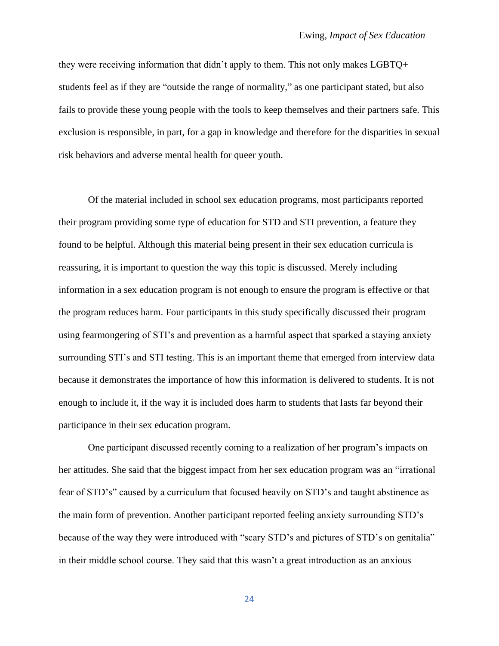they were receiving information that didn't apply to them. This not only makes LGBTQ+ students feel as if they are "outside the range of normality," as one participant stated, but also fails to provide these young people with the tools to keep themselves and their partners safe. This exclusion is responsible, in part, for a gap in knowledge and therefore for the disparities in sexual risk behaviors and adverse mental health for queer youth.

Of the material included in school sex education programs, most participants reported their program providing some type of education for STD and STI prevention, a feature they found to be helpful. Although this material being present in their sex education curricula is reassuring, it is important to question the way this topic is discussed. Merely including information in a sex education program is not enough to ensure the program is effective or that the program reduces harm. Four participants in this study specifically discussed their program using fearmongering of STI's and prevention as a harmful aspect that sparked a staying anxiety surrounding STI's and STI testing. This is an important theme that emerged from interview data because it demonstrates the importance of how this information is delivered to students. It is not enough to include it, if the way it is included does harm to students that lasts far beyond their participance in their sex education program.

One participant discussed recently coming to a realization of her program's impacts on her attitudes. She said that the biggest impact from her sex education program was an "irrational fear of STD's" caused by a curriculum that focused heavily on STD's and taught abstinence as the main form of prevention. Another participant reported feeling anxiety surrounding STD's because of the way they were introduced with "scary STD's and pictures of STD's on genitalia" in their middle school course. They said that this wasn't a great introduction as an anxious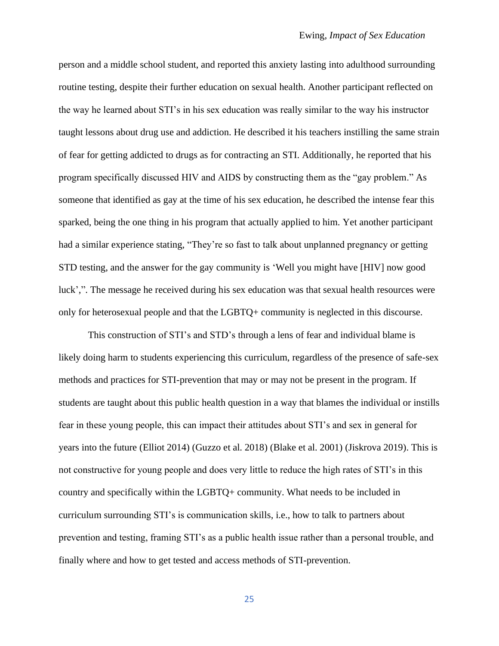person and a middle school student, and reported this anxiety lasting into adulthood surrounding routine testing, despite their further education on sexual health. Another participant reflected on the way he learned about STI's in his sex education was really similar to the way his instructor taught lessons about drug use and addiction. He described it his teachers instilling the same strain of fear for getting addicted to drugs as for contracting an STI. Additionally, he reported that his program specifically discussed HIV and AIDS by constructing them as the "gay problem." As someone that identified as gay at the time of his sex education, he described the intense fear this sparked, being the one thing in his program that actually applied to him. Yet another participant had a similar experience stating, "They're so fast to talk about unplanned pregnancy or getting STD testing, and the answer for the gay community is 'Well you might have [HIV] now good luck',". The message he received during his sex education was that sexual health resources were only for heterosexual people and that the LGBTQ+ community is neglected in this discourse.

This construction of STI's and STD's through a lens of fear and individual blame is likely doing harm to students experiencing this curriculum, regardless of the presence of safe-sex methods and practices for STI-prevention that may or may not be present in the program. If students are taught about this public health question in a way that blames the individual or instills fear in these young people, this can impact their attitudes about STI's and sex in general for years into the future (Elliot 2014) (Guzzo et al. 2018) (Blake et al. 2001) (Jiskrova 2019). This is not constructive for young people and does very little to reduce the high rates of STI's in this country and specifically within the LGBTQ+ community. What needs to be included in curriculum surrounding STI's is communication skills, i.e., how to talk to partners about prevention and testing, framing STI's as a public health issue rather than a personal trouble, and finally where and how to get tested and access methods of STI-prevention.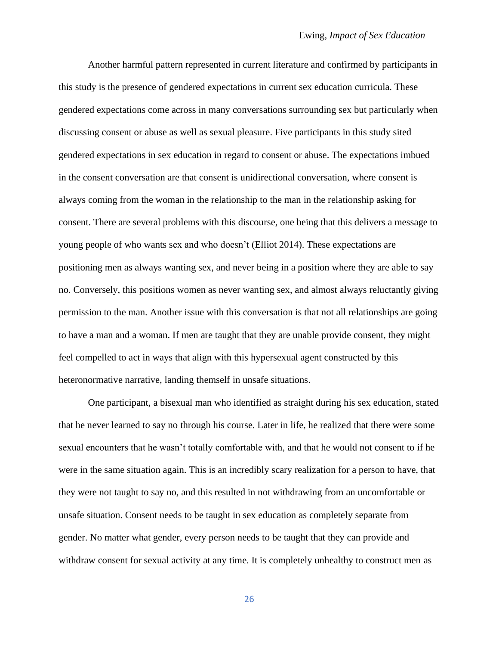Another harmful pattern represented in current literature and confirmed by participants in this study is the presence of gendered expectations in current sex education curricula. These gendered expectations come across in many conversations surrounding sex but particularly when discussing consent or abuse as well as sexual pleasure. Five participants in this study sited gendered expectations in sex education in regard to consent or abuse. The expectations imbued in the consent conversation are that consent is unidirectional conversation, where consent is always coming from the woman in the relationship to the man in the relationship asking for consent. There are several problems with this discourse, one being that this delivers a message to young people of who wants sex and who doesn't (Elliot 2014). These expectations are positioning men as always wanting sex, and never being in a position where they are able to say no. Conversely, this positions women as never wanting sex, and almost always reluctantly giving permission to the man. Another issue with this conversation is that not all relationships are going to have a man and a woman. If men are taught that they are unable provide consent, they might feel compelled to act in ways that align with this hypersexual agent constructed by this heteronormative narrative, landing themself in unsafe situations.

One participant, a bisexual man who identified as straight during his sex education, stated that he never learned to say no through his course. Later in life, he realized that there were some sexual encounters that he wasn't totally comfortable with, and that he would not consent to if he were in the same situation again. This is an incredibly scary realization for a person to have, that they were not taught to say no, and this resulted in not withdrawing from an uncomfortable or unsafe situation. Consent needs to be taught in sex education as completely separate from gender. No matter what gender, every person needs to be taught that they can provide and withdraw consent for sexual activity at any time. It is completely unhealthy to construct men as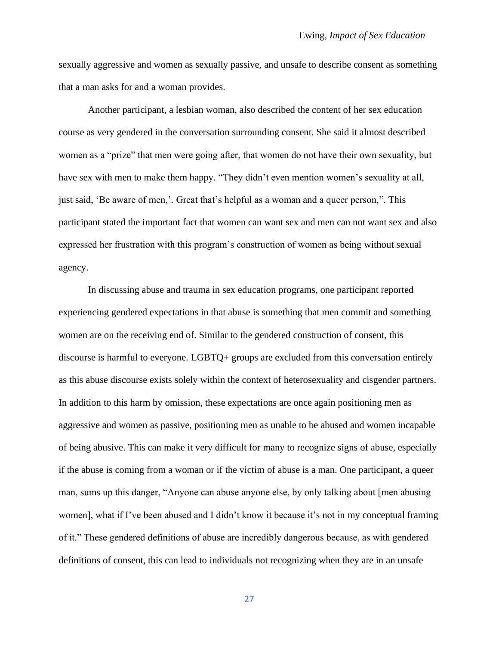sexually aggressive and women as sexually passive, and unsafe to describe consent as something that a man asks for and a woman provides.

Another participant, a lesbian woman, also described the content of her sex education course as very gendered in the conversation surrounding consent. She said it almost described women as a "prize" that men were going after, that women do not have their own sexuality, but have sex with men to make them happy. "They didn't even mention women's sexuality at all, just said, 'Be aware of men,'. Great that's helpful as a woman and a queer person,". This participant stated the important fact that women can want sex and men can not want sex and also expressed her frustration with this program's construction of women as being without sexual agency.

In discussing abuse and trauma in sex education programs, one participant reported experiencing gendered expectations in that abuse is something that men commit and something women are on the receiving end of. Similar to the gendered construction of consent, this discourse is harmful to everyone. LGBTQ+ groups are excluded from this conversation entirely as this abuse discourse exists solely within the context of heterosexuality and cisgender partners. In addition to this harm by omission, these expectations are once again positioning men as aggressive and women as passive, positioning men as unable to be abused and women incapable of being abusive. This can make it very difficult for many to recognize signs of abuse, especially if the abuse is coming from a woman or if the victim of abuse is a man. One participant, a queer man, sums up this danger, "Anyone can abuse anyone else, by only talking about [men abusing women], what if I've been abused and I didn't know it because it's not in my conceptual framing of it." These gendered definitions of abuse are incredibly dangerous because, as with gendered definitions of consent, this can lead to individuals not recognizing when they are in an unsafe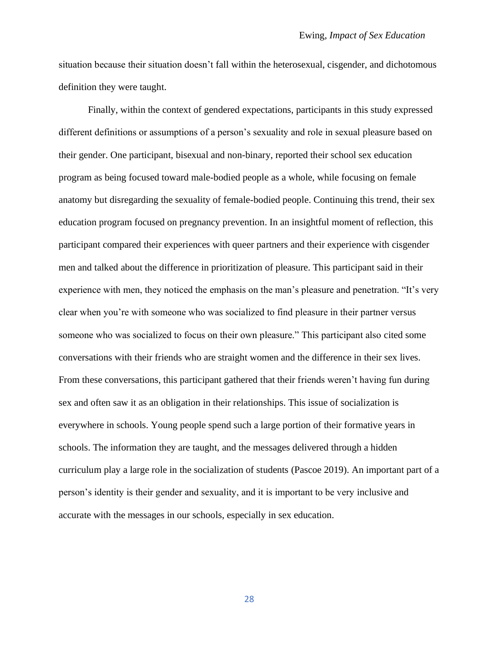situation because their situation doesn't fall within the heterosexual, cisgender, and dichotomous definition they were taught.

Finally, within the context of gendered expectations, participants in this study expressed different definitions or assumptions of a person's sexuality and role in sexual pleasure based on their gender. One participant, bisexual and non-binary, reported their school sex education program as being focused toward male-bodied people as a whole, while focusing on female anatomy but disregarding the sexuality of female-bodied people. Continuing this trend, their sex education program focused on pregnancy prevention. In an insightful moment of reflection, this participant compared their experiences with queer partners and their experience with cisgender men and talked about the difference in prioritization of pleasure. This participant said in their experience with men, they noticed the emphasis on the man's pleasure and penetration. "It's very clear when you're with someone who was socialized to find pleasure in their partner versus someone who was socialized to focus on their own pleasure." This participant also cited some conversations with their friends who are straight women and the difference in their sex lives. From these conversations, this participant gathered that their friends weren't having fun during sex and often saw it as an obligation in their relationships. This issue of socialization is everywhere in schools. Young people spend such a large portion of their formative years in schools. The information they are taught, and the messages delivered through a hidden curriculum play a large role in the socialization of students (Pascoe 2019). An important part of a person's identity is their gender and sexuality, and it is important to be very inclusive and accurate with the messages in our schools, especially in sex education.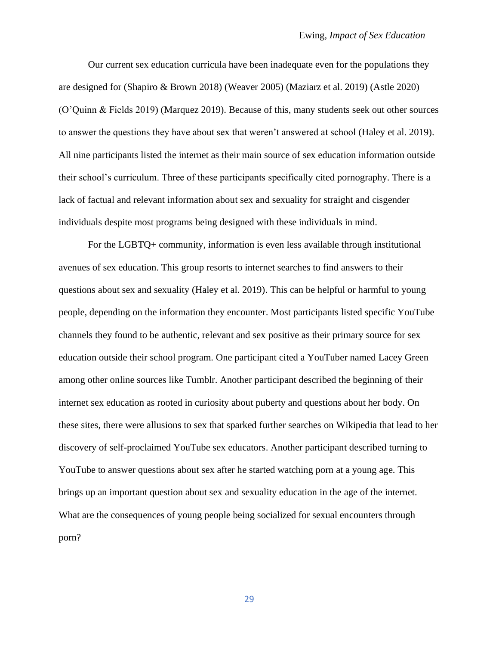Our current sex education curricula have been inadequate even for the populations they are designed for (Shapiro & Brown 2018) (Weaver 2005) (Maziarz et al. 2019) (Astle 2020) (O'Quinn & Fields 2019) (Marquez 2019). Because of this, many students seek out other sources to answer the questions they have about sex that weren't answered at school (Haley et al. 2019). All nine participants listed the internet as their main source of sex education information outside their school's curriculum. Three of these participants specifically cited pornography. There is a lack of factual and relevant information about sex and sexuality for straight and cisgender individuals despite most programs being designed with these individuals in mind.

For the LGBTQ+ community, information is even less available through institutional avenues of sex education. This group resorts to internet searches to find answers to their questions about sex and sexuality (Haley et al. 2019). This can be helpful or harmful to young people, depending on the information they encounter. Most participants listed specific YouTube channels they found to be authentic, relevant and sex positive as their primary source for sex education outside their school program. One participant cited a YouTuber named Lacey Green among other online sources like Tumblr. Another participant described the beginning of their internet sex education as rooted in curiosity about puberty and questions about her body. On these sites, there were allusions to sex that sparked further searches on Wikipedia that lead to her discovery of self-proclaimed YouTube sex educators. Another participant described turning to YouTube to answer questions about sex after he started watching porn at a young age. This brings up an important question about sex and sexuality education in the age of the internet. What are the consequences of young people being socialized for sexual encounters through porn?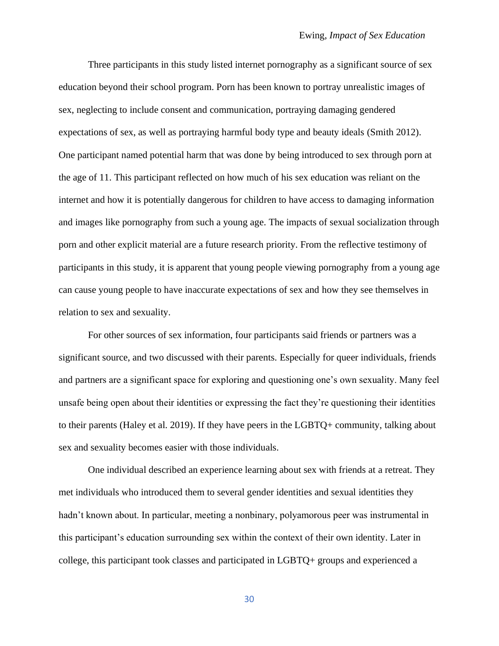Three participants in this study listed internet pornography as a significant source of sex education beyond their school program. Porn has been known to portray unrealistic images of sex, neglecting to include consent and communication, portraying damaging gendered expectations of sex, as well as portraying harmful body type and beauty ideals (Smith 2012). One participant named potential harm that was done by being introduced to sex through porn at the age of 11. This participant reflected on how much of his sex education was reliant on the internet and how it is potentially dangerous for children to have access to damaging information and images like pornography from such a young age. The impacts of sexual socialization through porn and other explicit material are a future research priority. From the reflective testimony of participants in this study, it is apparent that young people viewing pornography from a young age can cause young people to have inaccurate expectations of sex and how they see themselves in relation to sex and sexuality.

For other sources of sex information, four participants said friends or partners was a significant source, and two discussed with their parents. Especially for queer individuals, friends and partners are a significant space for exploring and questioning one's own sexuality. Many feel unsafe being open about their identities or expressing the fact they're questioning their identities to their parents (Haley et al. 2019). If they have peers in the LGBTQ+ community, talking about sex and sexuality becomes easier with those individuals.

One individual described an experience learning about sex with friends at a retreat. They met individuals who introduced them to several gender identities and sexual identities they hadn't known about. In particular, meeting a nonbinary, polyamorous peer was instrumental in this participant's education surrounding sex within the context of their own identity. Later in college, this participant took classes and participated in LGBTQ+ groups and experienced a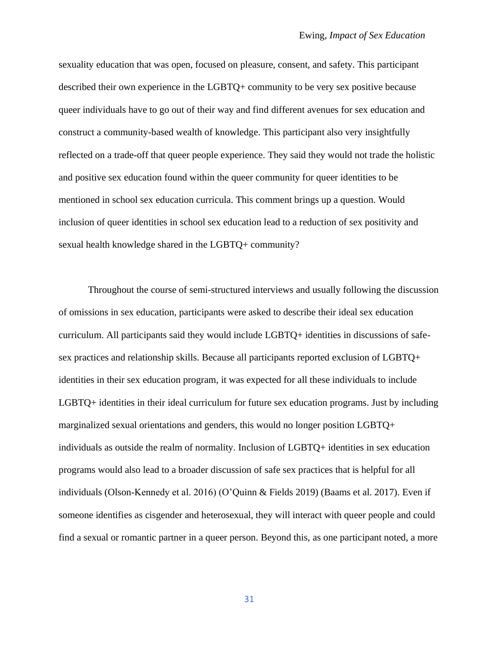sexuality education that was open, focused on pleasure, consent, and safety. This participant described their own experience in the LGBTQ+ community to be very sex positive because queer individuals have to go out of their way and find different avenues for sex education and construct a community-based wealth of knowledge. This participant also very insightfully reflected on a trade-off that queer people experience. They said they would not trade the holistic and positive sex education found within the queer community for queer identities to be mentioned in school sex education curricula. This comment brings up a question. Would inclusion of queer identities in school sex education lead to a reduction of sex positivity and sexual health knowledge shared in the LGBTQ+ community?

Throughout the course of semi-structured interviews and usually following the discussion of omissions in sex education, participants were asked to describe their ideal sex education curriculum. All participants said they would include LGBTQ+ identities in discussions of safesex practices and relationship skills. Because all participants reported exclusion of LGBTQ+ identities in their sex education program, it was expected for all these individuals to include LGBTQ+ identities in their ideal curriculum for future sex education programs. Just by including marginalized sexual orientations and genders, this would no longer position LGBTQ+ individuals as outside the realm of normality. Inclusion of LGBTQ+ identities in sex education programs would also lead to a broader discussion of safe sex practices that is helpful for all individuals (Olson-Kennedy et al. 2016) (O'Quinn & Fields 2019) (Baams et al. 2017). Even if someone identifies as cisgender and heterosexual, they will interact with queer people and could find a sexual or romantic partner in a queer person. Beyond this, as one participant noted, a more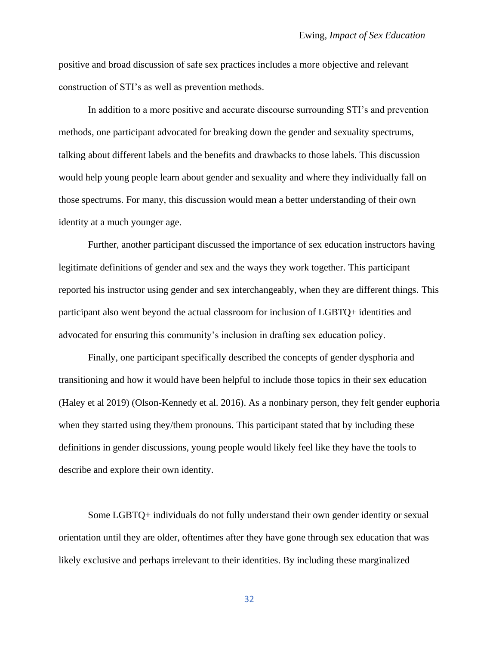positive and broad discussion of safe sex practices includes a more objective and relevant construction of STI's as well as prevention methods.

In addition to a more positive and accurate discourse surrounding STI's and prevention methods, one participant advocated for breaking down the gender and sexuality spectrums, talking about different labels and the benefits and drawbacks to those labels. This discussion would help young people learn about gender and sexuality and where they individually fall on those spectrums. For many, this discussion would mean a better understanding of their own identity at a much younger age.

Further, another participant discussed the importance of sex education instructors having legitimate definitions of gender and sex and the ways they work together. This participant reported his instructor using gender and sex interchangeably, when they are different things. This participant also went beyond the actual classroom for inclusion of LGBTQ+ identities and advocated for ensuring this community's inclusion in drafting sex education policy.

Finally, one participant specifically described the concepts of gender dysphoria and transitioning and how it would have been helpful to include those topics in their sex education (Haley et al 2019) (Olson-Kennedy et al. 2016). As a nonbinary person, they felt gender euphoria when they started using they/them pronouns. This participant stated that by including these definitions in gender discussions, young people would likely feel like they have the tools to describe and explore their own identity.

Some LGBTQ+ individuals do not fully understand their own gender identity or sexual orientation until they are older, oftentimes after they have gone through sex education that was likely exclusive and perhaps irrelevant to their identities. By including these marginalized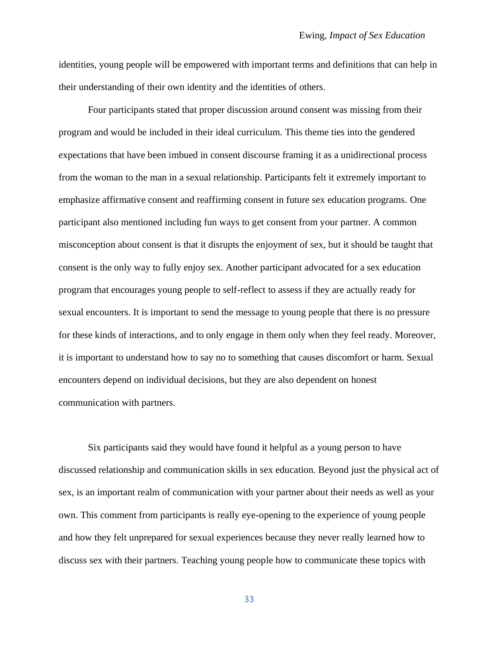identities, young people will be empowered with important terms and definitions that can help in their understanding of their own identity and the identities of others.

Four participants stated that proper discussion around consent was missing from their program and would be included in their ideal curriculum. This theme ties into the gendered expectations that have been imbued in consent discourse framing it as a unidirectional process from the woman to the man in a sexual relationship. Participants felt it extremely important to emphasize affirmative consent and reaffirming consent in future sex education programs. One participant also mentioned including fun ways to get consent from your partner. A common misconception about consent is that it disrupts the enjoyment of sex, but it should be taught that consent is the only way to fully enjoy sex. Another participant advocated for a sex education program that encourages young people to self-reflect to assess if they are actually ready for sexual encounters. It is important to send the message to young people that there is no pressure for these kinds of interactions, and to only engage in them only when they feel ready. Moreover, it is important to understand how to say no to something that causes discomfort or harm. Sexual encounters depend on individual decisions, but they are also dependent on honest communication with partners.

Six participants said they would have found it helpful as a young person to have discussed relationship and communication skills in sex education. Beyond just the physical act of sex, is an important realm of communication with your partner about their needs as well as your own. This comment from participants is really eye-opening to the experience of young people and how they felt unprepared for sexual experiences because they never really learned how to discuss sex with their partners. Teaching young people how to communicate these topics with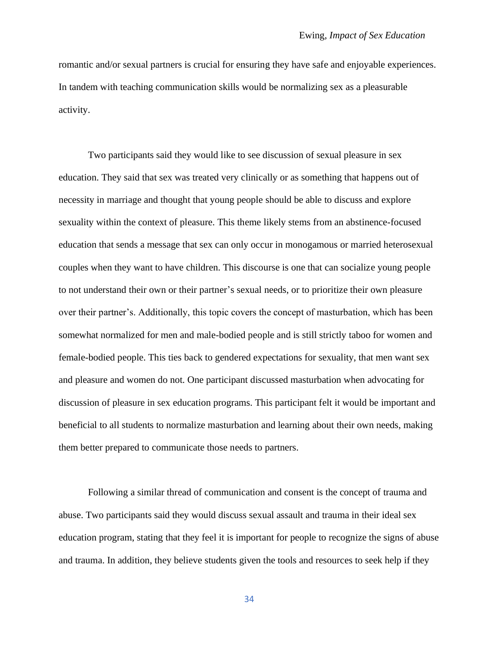romantic and/or sexual partners is crucial for ensuring they have safe and enjoyable experiences. In tandem with teaching communication skills would be normalizing sex as a pleasurable activity.

Two participants said they would like to see discussion of sexual pleasure in sex education. They said that sex was treated very clinically or as something that happens out of necessity in marriage and thought that young people should be able to discuss and explore sexuality within the context of pleasure. This theme likely stems from an abstinence-focused education that sends a message that sex can only occur in monogamous or married heterosexual couples when they want to have children. This discourse is one that can socialize young people to not understand their own or their partner's sexual needs, or to prioritize their own pleasure over their partner's. Additionally, this topic covers the concept of masturbation, which has been somewhat normalized for men and male-bodied people and is still strictly taboo for women and female-bodied people. This ties back to gendered expectations for sexuality, that men want sex and pleasure and women do not. One participant discussed masturbation when advocating for discussion of pleasure in sex education programs. This participant felt it would be important and beneficial to all students to normalize masturbation and learning about their own needs, making them better prepared to communicate those needs to partners.

Following a similar thread of communication and consent is the concept of trauma and abuse. Two participants said they would discuss sexual assault and trauma in their ideal sex education program, stating that they feel it is important for people to recognize the signs of abuse and trauma. In addition, they believe students given the tools and resources to seek help if they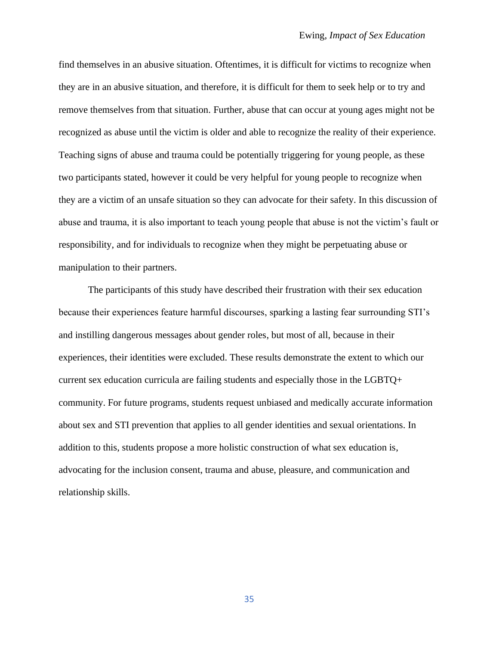find themselves in an abusive situation. Oftentimes, it is difficult for victims to recognize when they are in an abusive situation, and therefore, it is difficult for them to seek help or to try and remove themselves from that situation. Further, abuse that can occur at young ages might not be recognized as abuse until the victim is older and able to recognize the reality of their experience. Teaching signs of abuse and trauma could be potentially triggering for young people, as these two participants stated, however it could be very helpful for young people to recognize when they are a victim of an unsafe situation so they can advocate for their safety. In this discussion of abuse and trauma, it is also important to teach young people that abuse is not the victim's fault or responsibility, and for individuals to recognize when they might be perpetuating abuse or manipulation to their partners.

The participants of this study have described their frustration with their sex education because their experiences feature harmful discourses, sparking a lasting fear surrounding STI's and instilling dangerous messages about gender roles, but most of all, because in their experiences, their identities were excluded. These results demonstrate the extent to which our current sex education curricula are failing students and especially those in the LGBTQ+ community. For future programs, students request unbiased and medically accurate information about sex and STI prevention that applies to all gender identities and sexual orientations. In addition to this, students propose a more holistic construction of what sex education is, advocating for the inclusion consent, trauma and abuse, pleasure, and communication and relationship skills.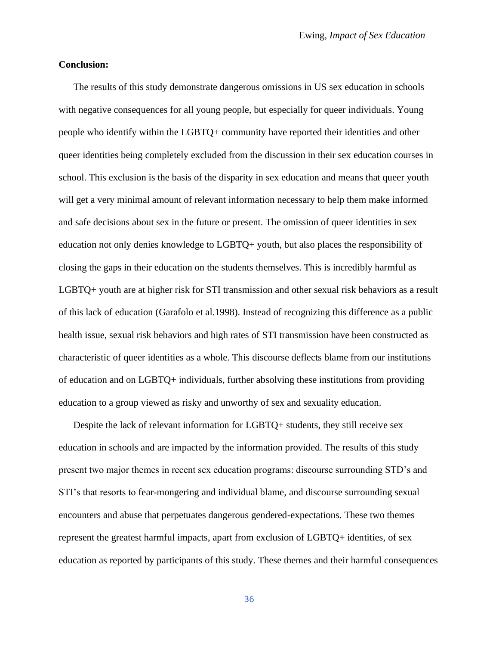#### **Conclusion:**

The results of this study demonstrate dangerous omissions in US sex education in schools with negative consequences for all young people, but especially for queer individuals. Young people who identify within the LGBTQ+ community have reported their identities and other queer identities being completely excluded from the discussion in their sex education courses in school. This exclusion is the basis of the disparity in sex education and means that queer youth will get a very minimal amount of relevant information necessary to help them make informed and safe decisions about sex in the future or present. The omission of queer identities in sex education not only denies knowledge to LGBTQ+ youth, but also places the responsibility of closing the gaps in their education on the students themselves. This is incredibly harmful as LGBTQ+ youth are at higher risk for STI transmission and other sexual risk behaviors as a result of this lack of education (Garafolo et al.1998). Instead of recognizing this difference as a public health issue, sexual risk behaviors and high rates of STI transmission have been constructed as characteristic of queer identities as a whole. This discourse deflects blame from our institutions of education and on LGBTQ+ individuals, further absolving these institutions from providing education to a group viewed as risky and unworthy of sex and sexuality education.

Despite the lack of relevant information for LGBTQ+ students, they still receive sex education in schools and are impacted by the information provided. The results of this study present two major themes in recent sex education programs: discourse surrounding STD's and STI's that resorts to fear-mongering and individual blame, and discourse surrounding sexual encounters and abuse that perpetuates dangerous gendered-expectations. These two themes represent the greatest harmful impacts, apart from exclusion of LGBTQ+ identities, of sex education as reported by participants of this study. These themes and their harmful consequences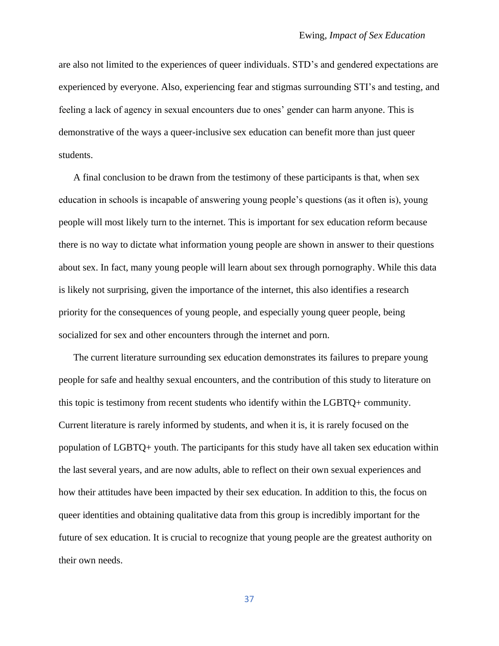are also not limited to the experiences of queer individuals. STD's and gendered expectations are experienced by everyone. Also, experiencing fear and stigmas surrounding STI's and testing, and feeling a lack of agency in sexual encounters due to ones' gender can harm anyone. This is demonstrative of the ways a queer-inclusive sex education can benefit more than just queer students.

A final conclusion to be drawn from the testimony of these participants is that, when sex education in schools is incapable of answering young people's questions (as it often is), young people will most likely turn to the internet. This is important for sex education reform because there is no way to dictate what information young people are shown in answer to their questions about sex. In fact, many young people will learn about sex through pornography. While this data is likely not surprising, given the importance of the internet, this also identifies a research priority for the consequences of young people, and especially young queer people, being socialized for sex and other encounters through the internet and porn.

The current literature surrounding sex education demonstrates its failures to prepare young people for safe and healthy sexual encounters, and the contribution of this study to literature on this topic is testimony from recent students who identify within the LGBTQ+ community. Current literature is rarely informed by students, and when it is, it is rarely focused on the population of LGBTQ+ youth. The participants for this study have all taken sex education within the last several years, and are now adults, able to reflect on their own sexual experiences and how their attitudes have been impacted by their sex education. In addition to this, the focus on queer identities and obtaining qualitative data from this group is incredibly important for the future of sex education. It is crucial to recognize that young people are the greatest authority on their own needs.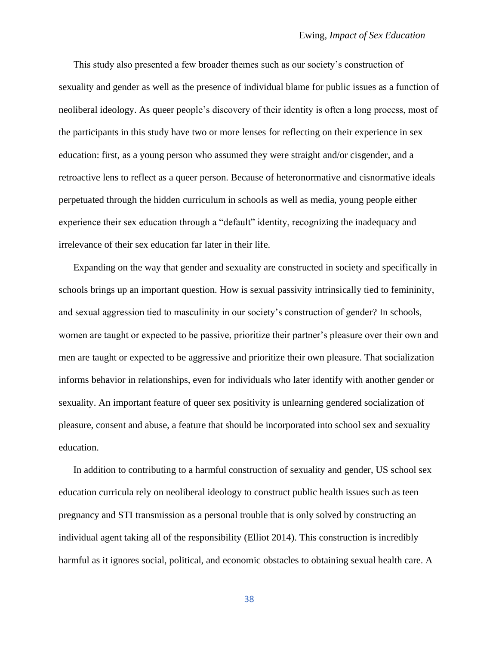This study also presented a few broader themes such as our society's construction of sexuality and gender as well as the presence of individual blame for public issues as a function of neoliberal ideology. As queer people's discovery of their identity is often a long process, most of the participants in this study have two or more lenses for reflecting on their experience in sex education: first, as a young person who assumed they were straight and/or cisgender, and a retroactive lens to reflect as a queer person. Because of heteronormative and cisnormative ideals perpetuated through the hidden curriculum in schools as well as media, young people either experience their sex education through a "default" identity, recognizing the inadequacy and irrelevance of their sex education far later in their life.

Expanding on the way that gender and sexuality are constructed in society and specifically in schools brings up an important question. How is sexual passivity intrinsically tied to femininity, and sexual aggression tied to masculinity in our society's construction of gender? In schools, women are taught or expected to be passive, prioritize their partner's pleasure over their own and men are taught or expected to be aggressive and prioritize their own pleasure. That socialization informs behavior in relationships, even for individuals who later identify with another gender or sexuality. An important feature of queer sex positivity is unlearning gendered socialization of pleasure, consent and abuse, a feature that should be incorporated into school sex and sexuality education.

In addition to contributing to a harmful construction of sexuality and gender, US school sex education curricula rely on neoliberal ideology to construct public health issues such as teen pregnancy and STI transmission as a personal trouble that is only solved by constructing an individual agent taking all of the responsibility (Elliot 2014). This construction is incredibly harmful as it ignores social, political, and economic obstacles to obtaining sexual health care. A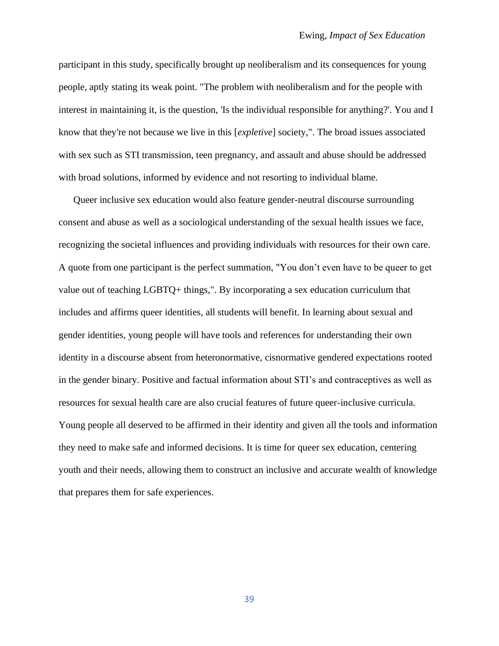participant in this study, specifically brought up neoliberalism and its consequences for young people, aptly stating its weak point. "The problem with neoliberalism and for the people with interest in maintaining it, is the question, 'Is the individual responsible for anything?'. You and I know that they're not because we live in this [*expletive*] society,". The broad issues associated with sex such as STI transmission, teen pregnancy, and assault and abuse should be addressed with broad solutions, informed by evidence and not resorting to individual blame.

Queer inclusive sex education would also feature gender-neutral discourse surrounding consent and abuse as well as a sociological understanding of the sexual health issues we face, recognizing the societal influences and providing individuals with resources for their own care. A quote from one participant is the perfect summation, "You don't even have to be queer to get value out of teaching LGBTQ+ things,". By incorporating a sex education curriculum that includes and affirms queer identities, all students will benefit. In learning about sexual and gender identities, young people will have tools and references for understanding their own identity in a discourse absent from heteronormative, cisnormative gendered expectations rooted in the gender binary. Positive and factual information about STI's and contraceptives as well as resources for sexual health care are also crucial features of future queer-inclusive curricula. Young people all deserved to be affirmed in their identity and given all the tools and information they need to make safe and informed decisions. It is time for queer sex education, centering youth and their needs, allowing them to construct an inclusive and accurate wealth of knowledge that prepares them for safe experiences.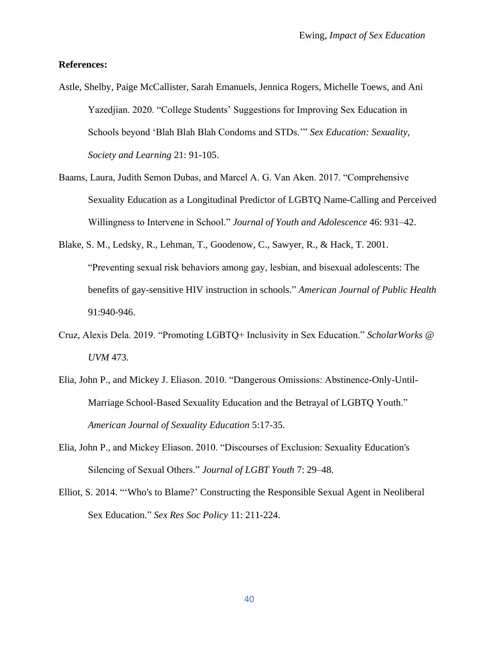#### **References:**

- Astle, Shelby, Paige McCallister, Sarah Emanuels, Jennica Rogers, Michelle Toews, and Ani Yazedjian. 2020. "College Students' Suggestions for Improving Sex Education in Schools beyond 'Blah Blah Blah Condoms and STDs.'" *Sex Education: Sexuality, Society and Learning* 21: 91-105.
- Baams, Laura, Judith Semon Dubas, and Marcel A. G. Van Aken. 2017. "Comprehensive Sexuality Education as a Longitudinal Predictor of LGBTQ Name-Calling and Perceived Willingness to Intervene in School." *Journal of Youth and Adolescence* 46: 931–42.
- Blake, S. M., Ledsky, R., Lehman, T., Goodenow, C., Sawyer, R., & Hack, T. 2001. "Preventing sexual risk behaviors among gay, lesbian, and bisexual adolescents: The benefits of gay-sensitive HIV instruction in schools." *American Journal of Public Health* 91:940-946.
- Cruz, Alexis Dela. 2019. "Promoting LGBTQ+ Inclusivity in Sex Education." *ScholarWorks @ UVM* 473.
- Elia, John P., and Mickey J. Eliason. 2010. "Dangerous Omissions: Abstinence-Only-Until-Marriage School-Based Sexuality Education and the Betrayal of LGBTQ Youth." *American Journal of Sexuality Education* 5:17-35.
- Elia, John P., and Mickey Eliason. 2010. "Discourses of Exclusion: Sexuality Education's Silencing of Sexual Others." *Journal of LGBT Youth* 7: 29–48.
- Elliot, S. 2014. "'Who's to Blame?' Constructing the Responsible Sexual Agent in Neoliberal Sex Education." *Sex Res Soc Policy* 11: 211-224.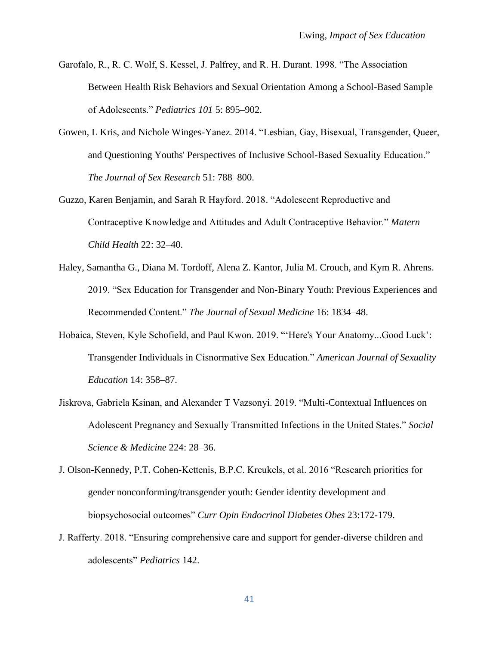- Garofalo, R., R. C. Wolf, S. Kessel, J. Palfrey, and R. H. Durant. 1998. "The Association Between Health Risk Behaviors and Sexual Orientation Among a School-Based Sample of Adolescents." *Pediatrics 101* 5: 895–902.
- Gowen, L Kris, and Nichole Winges-Yanez. 2014. "Lesbian, Gay, Bisexual, Transgender, Queer, and Questioning Youths' Perspectives of Inclusive School-Based Sexuality Education." *The Journal of Sex Research* 51: 788–800.
- Guzzo, Karen Benjamin, and Sarah R Hayford. 2018. "Adolescent Reproductive and Contraceptive Knowledge and Attitudes and Adult Contraceptive Behavior." *Matern Child Health* 22: 32–40.
- Haley, Samantha G., Diana M. Tordoff, Alena Z. Kantor, Julia M. Crouch, and Kym R. Ahrens. 2019. "Sex Education for Transgender and Non-Binary Youth: Previous Experiences and Recommended Content." *The Journal of Sexual Medicine* 16: 1834–48.
- Hobaica, Steven, Kyle Schofield, and Paul Kwon. 2019. "'Here's Your Anatomy...Good Luck': Transgender Individuals in Cisnormative Sex Education." *American Journal of Sexuality Education* 14: 358–87.
- Jiskrova, Gabriela Ksinan, and Alexander T Vazsonyi. 2019. "Multi-Contextual Influences on Adolescent Pregnancy and Sexually Transmitted Infections in the United States." *Social Science & Medicine* 224: 28–36.
- J. Olson-Kennedy, P.T. Cohen-Kettenis, B.P.C. Kreukels, et al. 2016 "Research priorities for gender nonconforming/transgender youth: Gender identity development and biopsychosocial outcomes" *Curr Opin Endocrinol Diabetes Obes* 23:172-179.
- J. Rafferty. 2018. "Ensuring comprehensive care and support for gender-diverse children and adolescents" *Pediatrics* 142.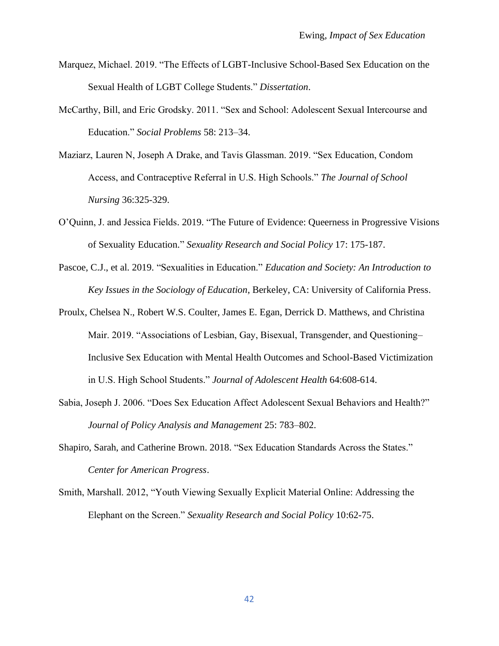- Marquez, Michael. 2019. "The Effects of LGBT-Inclusive School-Based Sex Education on the Sexual Health of LGBT College Students." *Dissertation*.
- McCarthy, Bill, and Eric Grodsky. 2011. "Sex and School: Adolescent Sexual Intercourse and Education." *Social Problems* 58: 213–34.
- Maziarz, Lauren N, Joseph A Drake, and Tavis Glassman. 2019. "Sex Education, Condom Access, and Contraceptive Referral in U.S. High Schools." *The Journal of School Nursing* 36:325-329.
- O'Quinn, J. and Jessica Fields. 2019. "The Future of Evidence: Queerness in Progressive Visions of Sexuality Education." *Sexuality Research and Social Policy* 17: 175-187.
- Pascoe, C.J., et al. 2019. "Sexualities in Education." *Education and Society: An Introduction to Key Issues in the Sociology of Education*, Berkeley, CA: University of California Press.
- Proulx, Chelsea N., Robert W.S. Coulter, James E. Egan, Derrick D. Matthews, and Christina Mair. 2019. "Associations of Lesbian, Gay, Bisexual, Transgender, and Questioning– Inclusive Sex Education with Mental Health Outcomes and School-Based Victimization in U.S. High School Students." *Journal of Adolescent Health* 64:608-614.
- Sabia, Joseph J. 2006. "Does Sex Education Affect Adolescent Sexual Behaviors and Health?" *Journal of Policy Analysis and Management* 25: 783–802.
- Shapiro, Sarah, and Catherine Brown. 2018. "Sex Education Standards Across the States." *Center for American Progress*.
- Smith, Marshall. 2012, "Youth Viewing Sexually Explicit Material Online: Addressing the Elephant on the Screen." *Sexuality Research and Social Policy* 10:62-75.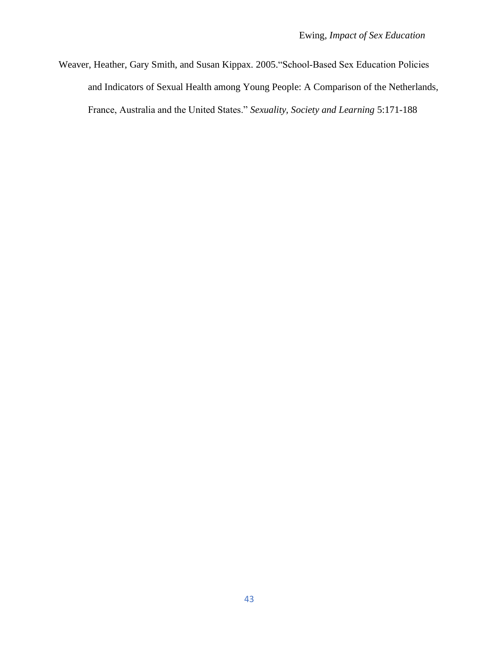Weaver, Heather, Gary Smith, and Susan Kippax. 2005."School‐Based Sex Education Policies and Indicators of Sexual Health among Young People: A Comparison of the Netherlands, France, Australia and the United States." *Sexuality, Society and Learning* 5:171-188